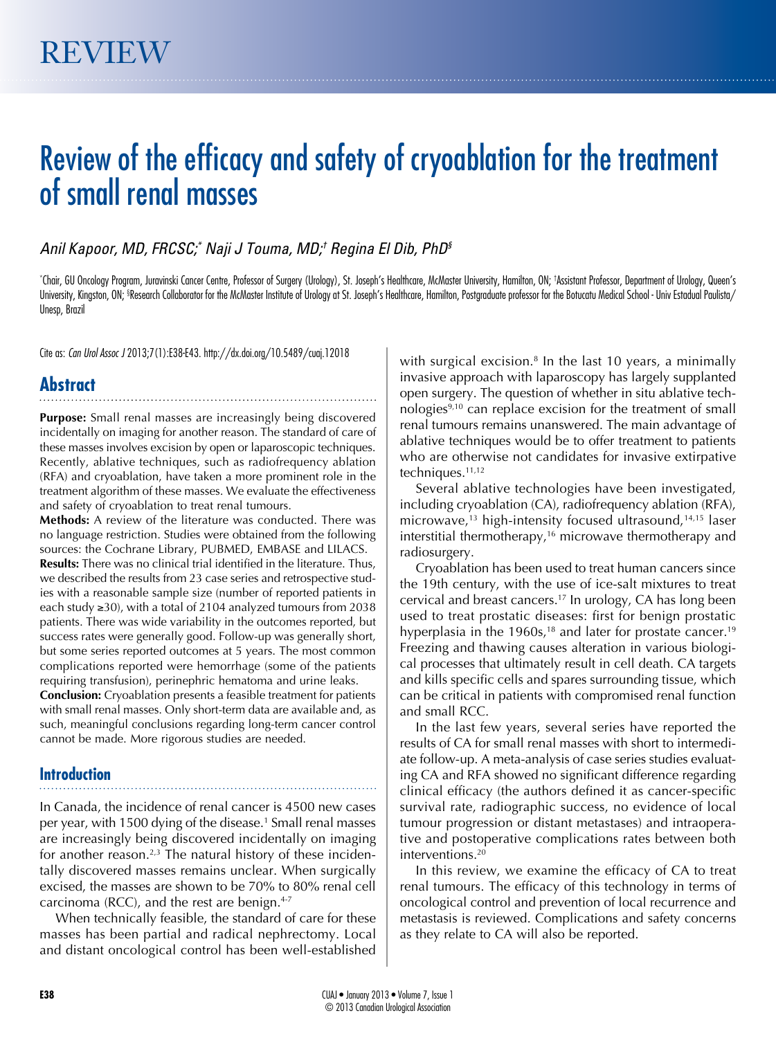# Review of the efficacy and safety of cryoablation for the treatment of small renal masses

# *Anil Kapoor, MD, FRCSC;\* Naji J Touma, MD;† Regina El Dib, PhD§*

\* Chair, GU Oncology Program, Juravinski Cancer Centre, Professor of Surgery (Urology), St. Joseph's Healthcare, McMaster University, Hamilton, ON; † Assistant Professor, Department of Urology, Queen's University, Kingston, ON; §Research Collaborator for the McMaster Institute of Urology at St. Joseph's Healthcare, Hamilton, Postgraduate professor for the Botucatu Medical School - Univ Estadual Paulista/ Unesp, Brazil

Cite as: *Can Urol Assoc J* 2013;7(1):E38-E43. http://dx.doi.org/10.5489/cuaj.12018

# **Abstract**

**Purpose:** Small renal masses are increasingly being discovered incidentally on imaging for another reason. The standard of care of these masses involves excision by open or laparoscopic techniques. Recently, ablative techniques, such as radiofrequency ablation (RFA) and cryoablation, have taken a more prominent role in the treatment algorithm of these masses. We evaluate the effectiveness and safety of cryoablation to treat renal tumours.

**Methods:** A review of the literature was conducted. There was no language restriction. Studies were obtained from the following sources: the Cochrane Library, PUBMED, EMBASE and LILACS. **Results:** There was no clinical trial identified in the literature. Thus, we described the results from 23 case series and retrospective studies with a reasonable sample size (number of reported patients in each study ≥30), with a total of 2104 analyzed tumours from 2038 patients. There was wide variability in the outcomes reported, but success rates were generally good. Follow-up was generally short, but some series reported outcomes at 5 years. The most common complications reported were hemorrhage (some of the patients requiring transfusion), perinephric hematoma and urine leaks.

**Conclusion:** Cryoablation presents a feasible treatment for patients with small renal masses. Only short-term data are available and, as such, meaningful conclusions regarding long-term cancer control cannot be made. More rigorous studies are needed.

# **Introduction**

In Canada, the incidence of renal cancer is 4500 new cases per year, with 1500 dying of the disease.<sup>1</sup> Small renal masses are increasingly being discovered incidentally on imaging for another reason.<sup>2,3</sup> The natural history of these incidentally discovered masses remains unclear. When surgically excised, the masses are shown to be 70% to 80% renal cell carcinoma (RCC), and the rest are benign. $4-7$ 

When technically feasible, the standard of care for these masses has been partial and radical nephrectomy. Local and distant oncological control has been well-established

with surgical excision. $8$  In the last 10 years, a minimally invasive approach with laparoscopy has largely supplanted open surgery. The question of whether in situ ablative technologies<sup>9,10</sup> can replace excision for the treatment of small renal tumours remains unanswered. The main advantage of ablative techniques would be to offer treatment to patients who are otherwise not candidates for invasive extirpative techniques.<sup>11,12</sup>

Several ablative technologies have been investigated, including cryoablation (CA), radiofrequency ablation (RFA), microwave, $13$  high-intensity focused ultrasound, $14,15$  laser interstitial thermotherapy,<sup>16</sup> microwave thermotherapy and radiosurgery.

Cryoablation has been used to treat human cancers since the 19th century, with the use of ice-salt mixtures to treat cervical and breast cancers.17 In urology, CA has long been used to treat prostatic diseases: first for benign prostatic hyperplasia in the 1960s,<sup>18</sup> and later for prostate cancer.<sup>19</sup> Freezing and thawing causes alteration in various biological processes that ultimately result in cell death. CA targets and kills specific cells and spares surrounding tissue, which can be critical in patients with compromised renal function and small RCC.

In the last few years, several series have reported the results of CA for small renal masses with short to intermediate follow-up. A meta-analysis of case series studies evaluating CA and RFA showed no significant difference regarding clinical efficacy (the authors defined it as cancer-specific survival rate, radiographic success, no evidence of local tumour progression or distant metastases) and intraoperative and postoperative complications rates between both interventions.20

In this review, we examine the efficacy of CA to treat renal tumours. The efficacy of this technology in terms of oncological control and prevention of local recurrence and metastasis is reviewed. Complications and safety concerns as they relate to CA will also be reported.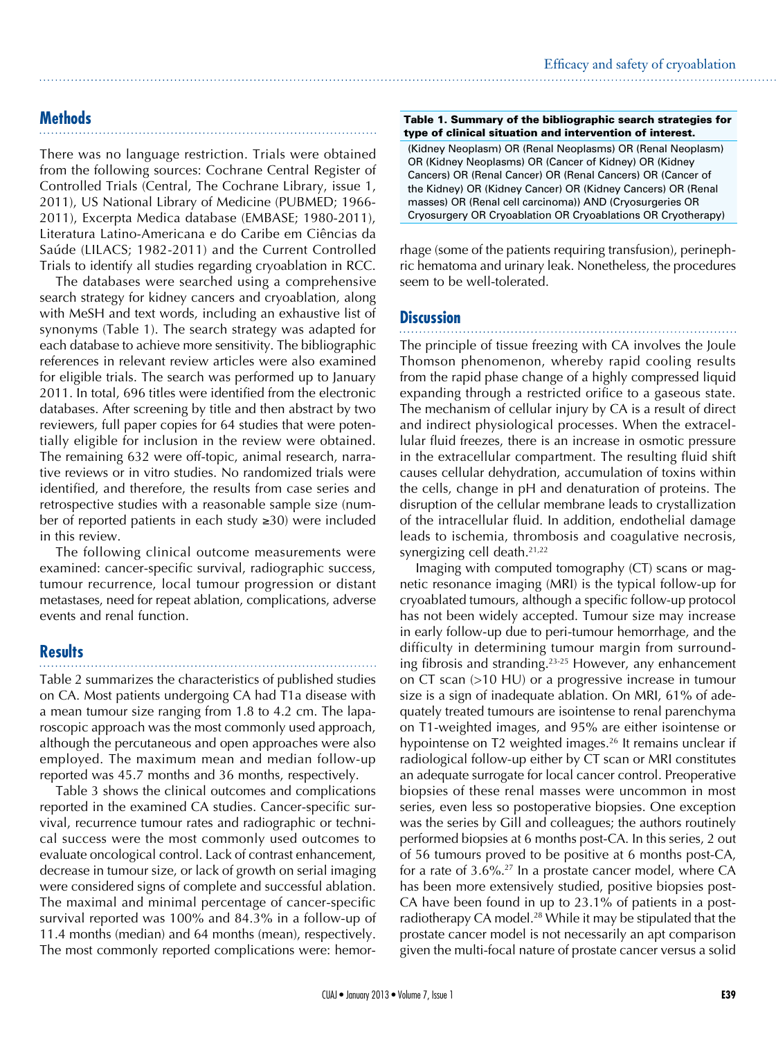# **Methods**

There was no language restriction. Trials were obtained from the following sources: Cochrane Central Register of Controlled Trials (Central, The Cochrane Library, issue 1, 2011), US National Library of Medicine (PUBMED; 1966- 2011), Excerpta Medica database (EMBASE; 1980-2011), Literatura Latino-Americana e do Caribe em Ciências da Saúde (LILACS; 1982-2011) and the Current Controlled Trials to identify all studies regarding cryoablation in RCC.

The databases were searched using a comprehensive search strategy for kidney cancers and cryoablation, along with MeSH and text words, including an exhaustive list of synonyms (Table 1). The search strategy was adapted for each database to achieve more sensitivity. The bibliographic references in relevant review articles were also examined for eligible trials. The search was performed up to January 2011. In total, 696 titles were identified from the electronic databases. After screening by title and then abstract by two reviewers, full paper copies for 64 studies that were potentially eligible for inclusion in the review were obtained. The remaining 632 were off-topic, animal research, narrative reviews or in vitro studies. No randomized trials were identified, and therefore, the results from case series and retrospective studies with a reasonable sample size (number of reported patients in each study ≥30) were included in this review.

The following clinical outcome measurements were examined: cancer-specific survival, radiographic success, tumour recurrence, local tumour progression or distant metastases, need for repeat ablation, complications, adverse events and renal function.

# **Results**

Table 2 summarizes the characteristics of published studies on CA. Most patients undergoing CA had T1a disease with a mean tumour size ranging from 1.8 to 4.2 cm. The laparoscopic approach was the most commonly used approach, although the percutaneous and open approaches were also employed. The maximum mean and median follow-up reported was 45.7 months and 36 months, respectively.

Table 3 shows the clinical outcomes and complications reported in the examined CA studies. Cancer-specific survival, recurrence tumour rates and radiographic or technical success were the most commonly used outcomes to evaluate oncological control. Lack of contrast enhancement, decrease in tumour size, or lack of growth on serial imaging were considered signs of complete and successful ablation. The maximal and minimal percentage of cancer-specific survival reported was 100% and 84.3% in a follow-up of 11.4 months (median) and 64 months (mean), respectively. The most commonly reported complications were: hemor-

### Table 1. Summary of the bibliographic search strategies for type of clinical situation and intervention of interest.

(Kidney Neoplasm) OR (Renal Neoplasms) OR (Renal Neoplasm) OR (Kidney Neoplasms) OR (Cancer of Kidney) OR (Kidney Cancers) OR (Renal Cancer) OR (Renal Cancers) OR (Cancer of the Kidney) OR (Kidney Cancer) OR (Kidney Cancers) OR (Renal masses) OR (Renal cell carcinoma)) AND (Cryosurgeries OR Cryosurgery OR Cryoablation OR Cryoablations OR Cryotherapy)

rhage (some of the patients requiring transfusion), perinephric hematoma and urinary leak. Nonetheless, the procedures seem to be well-tolerated.

# **Discussion**

The principle of tissue freezing with CA involves the Joule Thomson phenomenon, whereby rapid cooling results from the rapid phase change of a highly compressed liquid expanding through a restricted orifice to a gaseous state. The mechanism of cellular injury by CA is a result of direct and indirect physiological processes. When the extracellular fluid freezes, there is an increase in osmotic pressure in the extracellular compartment. The resulting fluid shift causes cellular dehydration, accumulation of toxins within the cells, change in pH and denaturation of proteins. The disruption of the cellular membrane leads to crystallization of the intracellular fluid. In addition, endothelial damage leads to ischemia, thrombosis and coagulative necrosis, synergizing cell death.<sup>21,22</sup>

Imaging with computed tomography (CT) scans or magnetic resonance imaging (MRI) is the typical follow-up for cryoablated tumours, although a specific follow-up protocol has not been widely accepted. Tumour size may increase in early follow-up due to peri-tumour hemorrhage, and the difficulty in determining tumour margin from surrounding fibrosis and stranding.23-25 However, any enhancement on CT scan (>10 HU) or a progressive increase in tumour size is a sign of inadequate ablation. On MRI, 61% of adequately treated tumours are isointense to renal parenchyma on T1-weighted images, and 95% are either isointense or hypointense on T2 weighted images.<sup>26</sup> It remains unclear if radiological follow-up either by CT scan or MRI constitutes an adequate surrogate for local cancer control. Preoperative biopsies of these renal masses were uncommon in most series, even less so postoperative biopsies. One exception was the series by Gill and colleagues; the authors routinely performed biopsies at 6 months post-CA. In this series, 2 out of 56 tumours proved to be positive at 6 months post-CA, for a rate of  $3.6\%$ <sup>27</sup> In a prostate cancer model, where CA has been more extensively studied, positive biopsies post-CA have been found in up to 23.1% of patients in a postradiotherapy CA model.<sup>28</sup> While it may be stipulated that the prostate cancer model is not necessarily an apt comparison given the multi-focal nature of prostate cancer versus a solid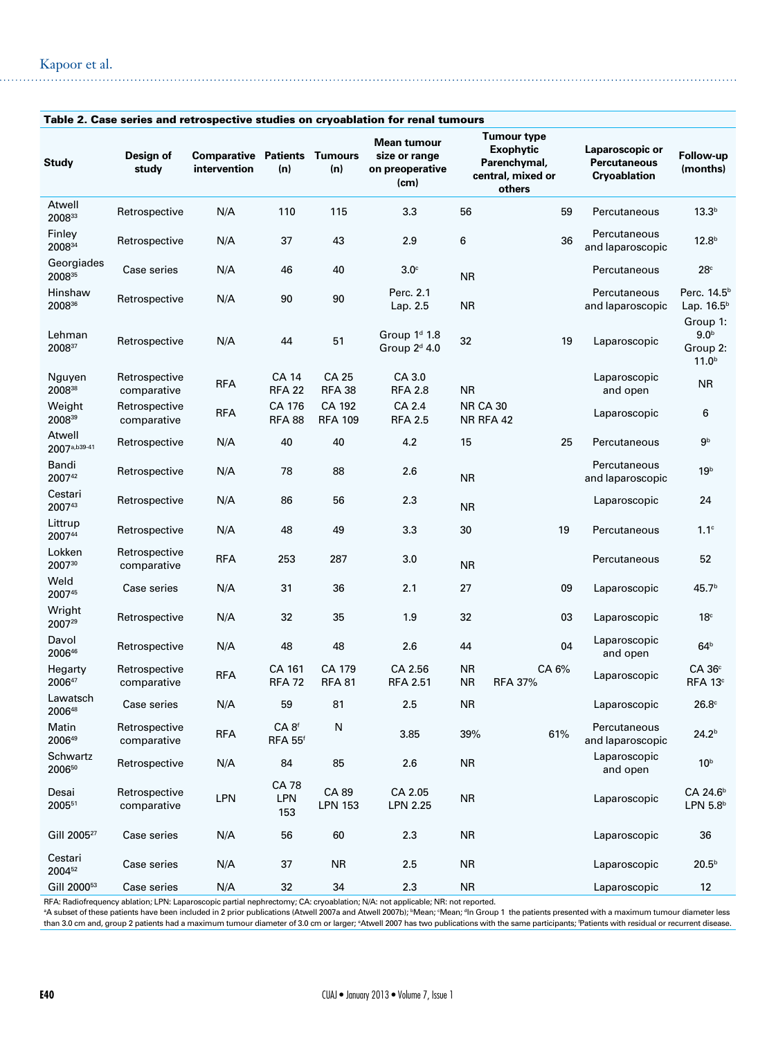| Table 2. Case series and retrospective studies on cryoablation for renal tumours |                              |                                                     |                                     |                               |                                                                      |                              |                                                                                |                                                        |                                                               |
|----------------------------------------------------------------------------------|------------------------------|-----------------------------------------------------|-------------------------------------|-------------------------------|----------------------------------------------------------------------|------------------------------|--------------------------------------------------------------------------------|--------------------------------------------------------|---------------------------------------------------------------|
| <b>Study</b>                                                                     | Design of<br>study           | <b>Comparative Patients Tumours</b><br>intervention | (n)                                 | (n)                           | Mean tumour<br>size or range<br>on preoperative<br>(c <sub>m</sub> ) |                              | Tumour type<br><b>Exophytic</b><br>Parenchymal,<br>central, mixed or<br>others | Laparoscopic or<br><b>Percutaneous</b><br>Cryoablation | Follow-up<br>(months)                                         |
| Atwell<br>200833                                                                 | Retrospective                | N/A                                                 | 110                                 | 115                           | 3.3                                                                  | 56                           | 59                                                                             | Percutaneous                                           | 13.3 <sup>b</sup>                                             |
| Finley<br>200834                                                                 | Retrospective                | N/A                                                 | 37                                  | 43                            | 2.9                                                                  | 6                            | 36                                                                             | Percutaneous<br>and laparoscopic                       | 12.8 <sup>b</sup>                                             |
| Georgiades<br>200835                                                             | Case series                  | N/A                                                 | 46                                  | 40                            | $3.0^\circ$                                                          | <b>NR</b>                    |                                                                                | Percutaneous                                           | $28^{\circ}$                                                  |
| Hinshaw<br>200836                                                                | Retrospective                | N/A                                                 | 90                                  | 90                            | Perc. 2.1<br>Lap. 2.5                                                | <b>NR</b>                    |                                                                                | Percutaneous<br>and laparoscopic                       | Perc. 14.5 <sup>b</sup><br>Lap. $16.5b$                       |
| Lehman<br>200837                                                                 | Retrospective                | N/A                                                 | 44                                  | 51                            | Group 1 <sup>d</sup> 1.8<br>Group $2d$ 4.0                           | 32                           | 19                                                                             | Laparoscopic                                           | Group 1:<br>9.0 <sup>b</sup><br>Group 2:<br>11.0 <sup>b</sup> |
| Nguyen<br>200838                                                                 | Retrospective<br>comparative | <b>RFA</b>                                          | <b>CA 14</b><br><b>RFA 22</b>       | <b>CA 25</b><br><b>RFA 38</b> | CA 3.0<br><b>RFA 2.8</b>                                             | <b>NR</b>                    |                                                                                | Laparoscopic<br>and open                               | <b>NR</b>                                                     |
| Weight<br>200839                                                                 | Retrospective<br>comparative | <b>RFA</b>                                          | CA 176<br><b>RFA 88</b>             | CA 192<br><b>RFA 109</b>      | CA 2.4<br><b>RFA 2.5</b>                                             | <b>NR CA 30</b><br>NR RFA 42 |                                                                                | Laparoscopic                                           | 6                                                             |
| Atwell<br>2007a,b39-41                                                           | Retrospective                | N/A                                                 | 40                                  | 40                            | 4.2                                                                  | 15                           | 25                                                                             | Percutaneous                                           | 9 <sup>b</sup>                                                |
| Bandi<br>200742                                                                  | Retrospective                | N/A                                                 | 78                                  | 88                            | 2.6                                                                  | <b>NR</b>                    |                                                                                | Percutaneous<br>and laparoscopic                       | 19 <sup>b</sup>                                               |
| Cestari<br>200743                                                                | Retrospective                | N/A                                                 | 86                                  | 56                            | 2.3                                                                  | <b>NR</b>                    |                                                                                | Laparoscopic                                           | 24                                                            |
| Littrup<br>200744                                                                | Retrospective                | N/A                                                 | 48                                  | 49                            | 3.3                                                                  | 30                           | 19                                                                             | Percutaneous                                           | 1.1 <sup>c</sup>                                              |
| Lokken<br>200730                                                                 | Retrospective<br>comparative | <b>RFA</b>                                          | 253                                 | 287                           | 3.0                                                                  | <b>NR</b>                    |                                                                                | Percutaneous                                           | 52                                                            |
| Weld<br>200745                                                                   | Case series                  | N/A                                                 | 31                                  | 36                            | 2.1                                                                  | 27                           | 09                                                                             | Laparoscopic                                           | 45.7 <sup>b</sup>                                             |
| Wright<br>200729                                                                 | Retrospective                | N/A                                                 | 32                                  | 35                            | 1.9                                                                  | 32                           | 03                                                                             | Laparoscopic                                           | 18 <sup>c</sup>                                               |
| Davol<br>200646                                                                  | Retrospective                | N/A                                                 | 48                                  | 48                            | 2.6                                                                  | 44                           | 04                                                                             | Laparoscopic<br>and open                               | 64 <sup>b</sup>                                               |
| Hegarty<br>200647                                                                | Retrospective<br>comparative | RFA                                                 | CA 161<br><b>RFA 72</b>             | CA 179<br><b>RFA 81</b>       | CA 2.56<br><b>RFA 2.51</b>                                           | <b>NR</b><br><b>NR</b>       | CA 6%<br><b>RFA 37%</b>                                                        | Laparoscopic                                           | CA 36 <sup>c</sup><br>RFA 13 <sup>c</sup>                     |
| Lawatsch<br>200648                                                               | Case series                  | N/A                                                 | 59                                  | 81                            | 2.5                                                                  | <b>NR</b>                    |                                                                                | Laparoscopic                                           | 26.8 <sup>c</sup>                                             |
| Matin<br>200649                                                                  | Retrospective<br>comparative | <b>RFA</b>                                          | CA 8 <sup>f</sup><br><b>RFA 55f</b> | ${\sf N}$                     | 3.85                                                                 | 39%                          | 61%                                                                            | Percutaneous<br>and laparoscopic                       | 24.2 <sup>b</sup>                                             |
| Schwartz<br>200650                                                               | Retrospective                | N/A                                                 | 84                                  | 85                            | 2.6                                                                  | <b>NR</b>                    |                                                                                | Laparoscopic<br>and open                               | 10 <sup>b</sup>                                               |
| Desai<br>200551                                                                  | Retrospective<br>comparative | LPN                                                 | <b>CA 78</b><br>LPN<br>153          | CA 89<br><b>LPN 153</b>       | CA 2.05<br><b>LPN 2.25</b>                                           | <b>NR</b>                    |                                                                                | Laparoscopic                                           | CA 24.6 <sup>b</sup><br>LPN 5.8 <sup>b</sup>                  |
| Gill 2005 <sup>27</sup>                                                          | Case series                  | N/A                                                 | 56                                  | 60                            | 2.3                                                                  | <b>NR</b>                    |                                                                                | Laparoscopic                                           | 36                                                            |
| Cestari<br>200452                                                                | Case series                  | N/A                                                 | 37                                  | <b>NR</b>                     | 2.5                                                                  | <b>NR</b>                    |                                                                                | Laparoscopic                                           | 20.5 <sup>b</sup>                                             |
| Gill 2000 <sup>53</sup>                                                          | Case series                  | N/A                                                 | 32                                  | 34                            | 2.3                                                                  | <b>NR</b>                    |                                                                                | Laparoscopic                                           | 12                                                            |

RFA: Radiofrequency ablation; LPN: Laparoscopic partial nephrectomy; CA: cryoablation; N/A: not applicable; NR: not reported.<br>®A subset of these patients have been included in 2 prior publications (Atwell 2007a and Atwell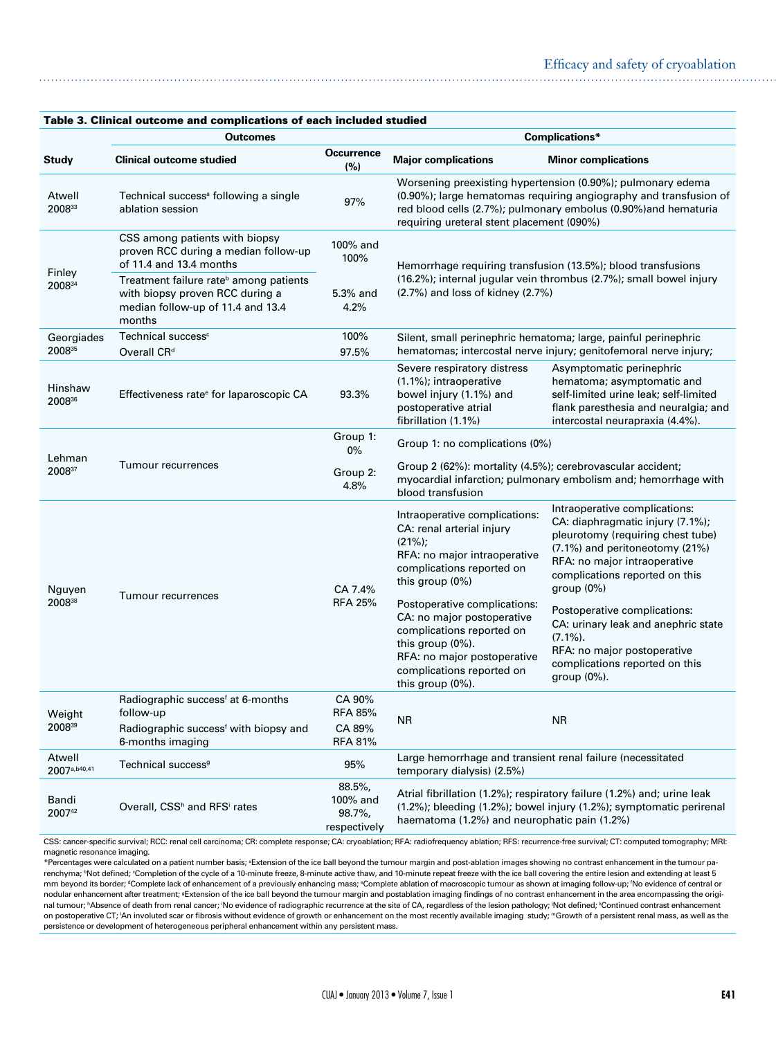| Table 3. Clinical outcome and complications of each included studied |                                                                                                                                      |                                                      |                                                                                                                                                                                                                                                  |                                                                                                                                                                                                                          |  |  |
|----------------------------------------------------------------------|--------------------------------------------------------------------------------------------------------------------------------------|------------------------------------------------------|--------------------------------------------------------------------------------------------------------------------------------------------------------------------------------------------------------------------------------------------------|--------------------------------------------------------------------------------------------------------------------------------------------------------------------------------------------------------------------------|--|--|
|                                                                      | <b>Outcomes</b>                                                                                                                      |                                                      | Complications*                                                                                                                                                                                                                                   |                                                                                                                                                                                                                          |  |  |
| <b>Study</b>                                                         | <b>Clinical outcome studied</b>                                                                                                      | <b>Occurrence</b><br>(%)                             | <b>Major complications</b>                                                                                                                                                                                                                       | <b>Minor complications</b>                                                                                                                                                                                               |  |  |
| Atwell<br>200833                                                     | Technical success <sup>a</sup> following a single<br>ablation session                                                                | 97%                                                  | Worsening preexisting hypertension (0.90%); pulmonary edema<br>(0.90%); large hematomas requiring angiography and transfusion of<br>red blood cells (2.7%); pulmonary embolus (0.90%) and hematuria<br>requiring ureteral stent placement (090%) |                                                                                                                                                                                                                          |  |  |
| Finley<br>200834                                                     | CSS among patients with biopsy<br>proven RCC during a median follow-up<br>of 11.4 and 13.4 months                                    | 100% and<br>100%                                     | Hemorrhage requiring transfusion (13.5%); blood transfusions<br>(16.2%); internal jugular vein thrombus (2.7%); small bowel injury<br>$(2.7%)$ and loss of kidney $(2.7%)$                                                                       |                                                                                                                                                                                                                          |  |  |
|                                                                      | Treatment failure rate <sup>b</sup> among patients<br>with biopsy proven RCC during a<br>median follow-up of 11.4 and 13.4<br>months | 5.3% and<br>4.2%                                     |                                                                                                                                                                                                                                                  |                                                                                                                                                                                                                          |  |  |
| Georgiades<br>200835                                                 | Technical success <sup>c</sup><br>Overall CR <sup>d</sup>                                                                            | 100%<br>97.5%                                        | Silent, small perinephric hematoma; large, painful perinephric<br>hematomas; intercostal nerve injury; genitofemoral nerve injury;                                                                                                               |                                                                                                                                                                                                                          |  |  |
| Hinshaw<br>200836                                                    | Effectiveness rate <sup>e</sup> for laparoscopic CA                                                                                  | 93.3%                                                | Severe respiratory distress<br>(1.1%); intraoperative<br>bowel injury (1.1%) and<br>postoperative atrial<br>fibrillation (1.1%)                                                                                                                  | Asymptomatic perinephric<br>hematoma; asymptomatic and<br>self-limited urine leak; self-limited<br>flank paresthesia and neuralgia; and<br>intercostal neurapraxia (4.4%).                                               |  |  |
| Lehman<br>200837                                                     |                                                                                                                                      | Group 1:<br>$0\%$                                    | Group 1: no complications (0%)                                                                                                                                                                                                                   |                                                                                                                                                                                                                          |  |  |
|                                                                      | <b>Tumour recurrences</b>                                                                                                            | Group 2:<br>4.8%                                     | Group 2 (62%): mortality (4.5%); cerebrovascular accident;<br>myocardial infarction; pulmonary embolism and; hemorrhage with<br>blood transfusion                                                                                                |                                                                                                                                                                                                                          |  |  |
| Nguyen<br>200838                                                     |                                                                                                                                      | CA 7.4%<br><b>RFA 25%</b>                            | Intraoperative complications:<br>CA: renal arterial injury<br>$(21\%)$ ;<br>RFA: no major intraoperative<br>complications reported on<br>this group (0%)                                                                                         | Intraoperative complications:<br>CA: diaphragmatic injury (7.1%);<br>pleurotomy (requiring chest tube)<br>(7.1%) and peritoneotomy (21%)<br>RFA: no major intraoperative<br>complications reported on this<br>group (0%) |  |  |
|                                                                      | Tumour recurrences                                                                                                                   |                                                      | Postoperative complications:<br>CA: no major postoperative<br>complications reported on<br>this group (0%).<br>RFA: no major postoperative<br>complications reported on<br>this group (0%).                                                      | Postoperative complications:<br>CA: urinary leak and anephric state<br>$(7.1\%)$ .<br>RFA: no major postoperative<br>complications reported on this<br>group (0%).                                                       |  |  |
| Weight<br>200839                                                     | Radiographic success <sup>f</sup> at 6-months<br>follow-up<br>Radiographic success <sup>f</sup> with biopsy and<br>6-months imaging  | CA 90%<br><b>RFA 85%</b><br>CA 89%<br><b>RFA 81%</b> | ΝR                                                                                                                                                                                                                                               | <b>NR</b>                                                                                                                                                                                                                |  |  |
| Atwell<br>2007a,b40,41                                               | Technical success <sup>9</sup>                                                                                                       | 95%                                                  | Large hemorrhage and transient renal failure (necessitated<br>temporary dialysis) (2.5%)                                                                                                                                                         |                                                                                                                                                                                                                          |  |  |
| Bandi<br>200742                                                      | Overall, CSS <sup>h</sup> and RFS <sup>i</sup> rates                                                                                 | 88.5%,<br>100% and<br>98.7%,<br>respectively         | Atrial fibrillation (1.2%); respiratory failure (1.2%) and; urine leak<br>(1.2%); bleeding (1.2%); bowel injury (1.2%); symptomatic perirenal<br>haematoma (1.2%) and neurophatic pain (1.2%)                                                    |                                                                                                                                                                                                                          |  |  |

Table 3. Clinical outcome and complications of each included studied

CSS: cancer-specific survival; RCC: renal cell carcinoma; CR: complete response; CA: cryoablation; RFA: radiofrequency ablation; RFS: recurrence-free survival; CT: computed tomography; MRI: magnetic resonance imaging.

\*Percentages were calculated on a patient number basis; <sup>a</sup>Extension of the ice ball beyond the tumour margin and post-ablation images showing no contrast enhancement in the tumour parenchyma; <sup>b</sup>Not defined; <sup>c</sup>Completion of the cycle of a 10-minute freeze, 8-minute active thaw, and 10-minute repeat freeze with the ice ball covering the entire lesion and extending at least 5 mm beyond its border; "Complete lack of enhancement of a previously enhancing mass; "Complete ablation of macroscopic tumour as shown at imaging follow-up; 'No evidence of central or nodular enhancement after treatment; <sup>a</sup>Extension of the ice ball beyond the tumour margin and postablation imaging findings of no contrast enhancement in the area encompassing the original tumour; "Absence of death from renal cancer; 'No evidence of radiographic recurrence at the site of CA, regardless of the lesion pathology; 'Not defined; "Continued contrast enhancement on postoperative CT; 'An involuted scar or fibrosis without evidence of growth or enhancement on the most recently available imaging study; <sup>m</sup>Growth of a persistent renal mass, as well as the persistence or development of heterogeneous peripheral enhancement within any persistent mass.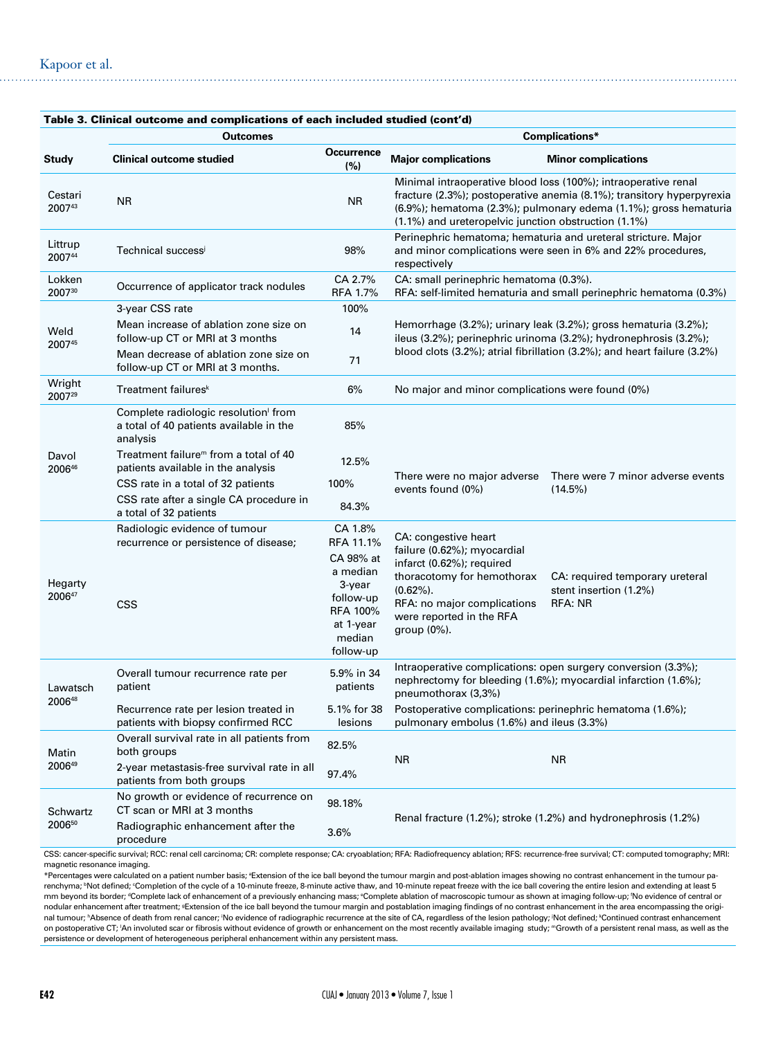|                    | <b>Outcomes</b>                                                                            |                                                                                                                             | Complications*                                                                                                                                                                                                                                                                   |  |  |  |
|--------------------|--------------------------------------------------------------------------------------------|-----------------------------------------------------------------------------------------------------------------------------|----------------------------------------------------------------------------------------------------------------------------------------------------------------------------------------------------------------------------------------------------------------------------------|--|--|--|
| <b>Study</b>       | <b>Clinical outcome studied</b>                                                            | <b>Occurrence</b><br>(%)                                                                                                    | <b>Major complications</b><br><b>Minor complications</b>                                                                                                                                                                                                                         |  |  |  |
| Cestari<br>200743  | <b>NR</b>                                                                                  | <b>NR</b>                                                                                                                   | Minimal intraoperative blood loss (100%); intraoperative renal<br>fracture (2.3%); postoperative anemia (8.1%); transitory hyperpyrexia<br>(6.9%); hematoma (2.3%); pulmonary edema (1.1%); gross hematuria<br>(1.1%) and ureteropelvic junction obstruction (1.1%)              |  |  |  |
| Littrup<br>200744  | Technical successi                                                                         | 98%                                                                                                                         | Perinephric hematoma; hematuria and ureteral stricture. Major<br>and minor complications were seen in 6% and 22% procedures,<br>respectively                                                                                                                                     |  |  |  |
| Lokken<br>200730   | Occurrence of applicator track nodules                                                     | CA 2.7%<br><b>RFA 1.7%</b>                                                                                                  | CA: small perinephric hematoma (0.3%).<br>RFA: self-limited hematuria and small perinephric hematoma (0.3%)                                                                                                                                                                      |  |  |  |
|                    | 3-year CSS rate                                                                            | 100%                                                                                                                        |                                                                                                                                                                                                                                                                                  |  |  |  |
| Weld<br>200745     | Mean increase of ablation zone size on<br>follow-up CT or MRI at 3 months                  | 14                                                                                                                          | Hemorrhage (3.2%); urinary leak (3.2%); gross hematuria (3.2%);<br>ileus (3.2%); perinephric urinoma (3.2%); hydronephrosis (3.2%);<br>blood clots (3.2%); atrial fibrillation (3.2%); and heart failure (3.2%)                                                                  |  |  |  |
|                    | Mean decrease of ablation zone size on<br>follow-up CT or MRI at 3 months.                 | 71                                                                                                                          |                                                                                                                                                                                                                                                                                  |  |  |  |
| Wright<br>200729   | Treatment failures <sup>k</sup>                                                            | 6%                                                                                                                          | No major and minor complications were found (0%)                                                                                                                                                                                                                                 |  |  |  |
|                    | Complete radiologic resolution from<br>a total of 40 patients available in the<br>analysis | 85%                                                                                                                         |                                                                                                                                                                                                                                                                                  |  |  |  |
| Davol<br>200646    | Treatment failure <sup>™</sup> from a total of 40<br>patients available in the analysis    | 12.5%                                                                                                                       |                                                                                                                                                                                                                                                                                  |  |  |  |
|                    | CSS rate in a total of 32 patients                                                         | 100%                                                                                                                        | There were no major adverse<br>There were 7 minor adverse events<br>events found (0%)<br>(14.5%)                                                                                                                                                                                 |  |  |  |
|                    | CSS rate after a single CA procedure in<br>a total of 32 patients                          | 84.3%                                                                                                                       |                                                                                                                                                                                                                                                                                  |  |  |  |
| Hegarty<br>200647  | Radiologic evidence of tumour<br>recurrence or persistence of disease;<br><b>CSS</b>       | CA 1.8%<br>RFA 11.1%<br>CA 98% at<br>a median<br>3-year<br>follow-up<br><b>RFA 100%</b><br>at 1-year<br>median<br>follow-up | CA: congestive heart<br>failure (0.62%); myocardial<br>infarct (0.62%); required<br>thoracotomy for hemothorax<br>CA: required temporary ureteral<br>$(0.62\%)$ .<br>stent insertion (1.2%)<br>RFA: no major complications<br>RFA: NR<br>were reported in the RFA<br>group (0%). |  |  |  |
| Lawatsch<br>200648 | Overall tumour recurrence rate per<br>patient                                              | 5.9% in 34<br>patients                                                                                                      | Intraoperative complications: open surgery conversion (3.3%);<br>nephrectomy for bleeding (1.6%); myocardial infarction (1.6%);<br>pneumothorax (3,3%)                                                                                                                           |  |  |  |
|                    | Recurrence rate per lesion treated in<br>patients with biopsy confirmed RCC                | 5.1% for 38<br>lesions                                                                                                      | Postoperative complications: perinephric hematoma (1.6%);<br>pulmonary embolus (1.6%) and ileus (3.3%)                                                                                                                                                                           |  |  |  |
| Matin<br>200649    | Overall survival rate in all patients from<br>both groups                                  | 82.5%                                                                                                                       |                                                                                                                                                                                                                                                                                  |  |  |  |
|                    | 2-year metastasis-free survival rate in all<br>patients from both groups                   | 97.4%                                                                                                                       | <b>NR</b><br><b>NR</b>                                                                                                                                                                                                                                                           |  |  |  |
| Schwartz<br>200650 | No growth or evidence of recurrence on<br>CT scan or MRI at 3 months                       | 98.18%                                                                                                                      |                                                                                                                                                                                                                                                                                  |  |  |  |
|                    | Radiographic enhancement after the<br>procedure                                            | 3.6%                                                                                                                        | Renal fracture (1.2%); stroke (1.2%) and hydronephrosis (1.2%)                                                                                                                                                                                                                   |  |  |  |

CSS: cancer-specific survival; RCC: renal cell carcinoma; CR: complete response; CA: cryoablation; RFA: Radiofrequency ablation; RFS: recurrence-free survival; CT: computed tomography; MRI: magnetic resonance imaging.

\*Percentages were calculated on a patient number basis; <sup>a</sup>Extension of the ice ball beyond the tumour margin and post-ablation images showing no contrast enhancement in the tumour parenchyma; <sup>b</sup>Not defined; 'Completion of the cycle of a 10-minute freeze, 8-minute active thaw, and 10-minute repeat freeze with the ice ball covering the entire lesion and extending at least 5 mm beyond its border; "Complete lack of enhancement of a previously enhancing mass; "Complete ablation of macroscopic tumour as shown at imaging follow-up; 'No evidence of central or nodular enhancement after treatment; gExtension of the ice ball beyond the tumour margin and postablation imaging findings of no contrast enhancement in the area encompassing the original tumour; "Absence of death from renal cancer; 'No evidence of radiographic recurrence at the site of CA, regardless of the lesion pathology; 'Not defined; \*Continued contrast enhancement on postoperative CT; 'An involuted scar or fibrosis without evidence of growth or enhancement on the most recently available imaging study; <sup>m</sup>Growth of a persistent renal mass, as well as the persistence or development of heterogeneous peripheral enhancement within any persistent mass.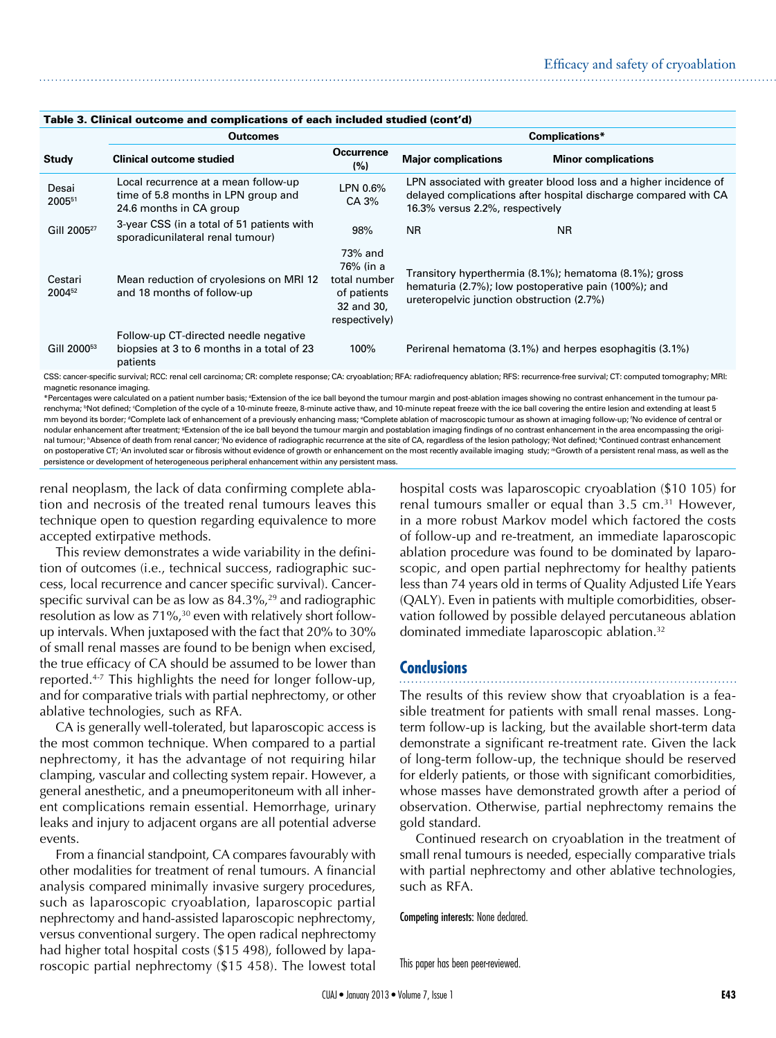| rapic J. Omnoar outcome and complications or each moluted studied (com u/ |                                                                                                                                                                                               |                                                                                    |                                                                                                                                                                        |                                                                                                                |  |  |
|---------------------------------------------------------------------------|-----------------------------------------------------------------------------------------------------------------------------------------------------------------------------------------------|------------------------------------------------------------------------------------|------------------------------------------------------------------------------------------------------------------------------------------------------------------------|----------------------------------------------------------------------------------------------------------------|--|--|
|                                                                           | <b>Outcomes</b>                                                                                                                                                                               |                                                                                    | Complications*                                                                                                                                                         |                                                                                                                |  |  |
| <b>Study</b>                                                              | <b>Clinical outcome studied</b>                                                                                                                                                               | <b>Occurrence</b><br>(%)                                                           | <b>Major complications</b>                                                                                                                                             | <b>Minor complications</b>                                                                                     |  |  |
| Desai<br>200551                                                           | Local recurrence at a mean follow-up<br>time of 5.8 months in LPN group and<br>24.6 months in CA group                                                                                        | LPN 0.6%<br>CA 3%                                                                  | LPN associated with greater blood loss and a higher incidence of<br>delayed complications after hospital discharge compared with CA<br>16.3% versus 2.2%, respectively |                                                                                                                |  |  |
| Gill 2005 <sup>27</sup>                                                   | 3-year CSS (in a total of 51 patients with<br>sporadicunilateral renal tumour)                                                                                                                | 98%                                                                                | <b>NR</b>                                                                                                                                                              | <b>NR</b>                                                                                                      |  |  |
| Cestari<br>2004 <sup>52</sup>                                             | Mean reduction of cryolesions on MRI 12<br>and 18 months of follow-up                                                                                                                         | 73% and<br>76% (in a<br>total number<br>of patients<br>32 and 30,<br>respectively) | ureteropelvic junction obstruction (2.7%)                                                                                                                              | Transitory hyperthermia (8.1%); hematoma (8.1%); gross<br>hematuria (2.7%); low postoperative pain (100%); and |  |  |
| Gill 2000 <sup>53</sup>                                                   | Follow-up CT-directed needle negative<br>biopsies at 3 to 6 months in a total of 23<br>patients                                                                                               | 100%                                                                               |                                                                                                                                                                        | Perirenal hematoma (3.1%) and herpes esophagitis (3.1%)                                                        |  |  |
|                                                                           | CSS: cancer-specific survival; RCC: renal cell carcinoma; CR: complete response; CA: cryoablation; RFA: radiofrequency ablation; RFS: recurrence-free survival; CT: computed tomography; MRI: |                                                                                    |                                                                                                                                                                        |                                                                                                                |  |  |

### Table 3. Clinical outcome and complications of each included studied (cont'd)

magnetic resonance imaging.

\*Percentages were calculated on a patient number basis; <sup>a</sup>Extension of the ice ball beyond the tumour margin and post-ablation images showing no contrast enhancement in the tumour parenchyma; <sup>b</sup>Not defined; <sup>c</sup>Completion of the cycle of a 10-minute freeze, 8-minute active thaw, and 10-minute repeat freeze with the ice ball covering the entire lesion and extending at least 5 mm beyond its border; "Complete lack of enhancement of a previously enhancing mass; "Complete ablation of macroscopic tumour as shown at imaging follow-up; 'No evidence of central or nodular enhancement after treatment; <sup>9</sup>Extension of the ice ball beyond the tumour margin and postablation imaging findings of no contrast enhancement in the area encompassing the original tumour; "Absence of death from renal cancer; 'No evidence of radiographic recurrence at the site of CA, regardless of the lesion pathology; 'Not defined; \*Continued contrast enhancement on postoperative CT; 'An involuted scar or fibrosis without evidence of growth or enhancement on the most recently available imaging study; <sup>m</sup>Growth of a persistent renal mass, as well as the persistence or development of heterogeneous peripheral enhancement within any persistent mass.

renal neoplasm, the lack of data confirming complete ablation and necrosis of the treated renal tumours leaves this technique open to question regarding equivalence to more accepted extirpative methods.

This review demonstrates a wide variability in the definition of outcomes (i.e., technical success, radiographic success, local recurrence and cancer specific survival). Cancerspecific survival can be as low as  $84.3\%$ <sup>29</sup> and radiographic resolution as low as 71%,<sup>30</sup> even with relatively short followup intervals. When juxtaposed with the fact that 20% to 30% of small renal masses are found to be benign when excised, the true efficacy of CA should be assumed to be lower than reported.4-7 This highlights the need for longer follow-up, and for comparative trials with partial nephrectomy, or other ablative technologies, such as RFA.

CA is generally well-tolerated, but laparoscopic access is the most common technique. When compared to a partial nephrectomy, it has the advantage of not requiring hilar clamping, vascular and collecting system repair. However, a general anesthetic, and a pneumoperitoneum with all inherent complications remain essential. Hemorrhage, urinary leaks and injury to adjacent organs are all potential adverse events.

From a financial standpoint, CA compares favourably with other modalities for treatment of renal tumours. A financial analysis compared minimally invasive surgery procedures, such as laparoscopic cryoablation, laparoscopic partial nephrectomy and hand-assisted laparoscopic nephrectomy, versus conventional surgery. The open radical nephrectomy had higher total hospital costs (\$15 498), followed by laparoscopic partial nephrectomy (\$15 458). The lowest total

hospital costs was laparoscopic cryoablation (\$10 105) for renal tumours smaller or equal than  $3.5 \text{ cm}^{31}$  However, in a more robust Markov model which factored the costs of follow-up and re-treatment, an immediate laparoscopic ablation procedure was found to be dominated by laparoscopic, and open partial nephrectomy for healthy patients less than 74 years old in terms of Quality Adjusted Life Years (QALY). Even in patients with multiple comorbidities, observation followed by possible delayed percutaneous ablation dominated immediate laparoscopic ablation.<sup>32</sup>

# **Conclusions**

The results of this review show that cryoablation is a feasible treatment for patients with small renal masses. Longterm follow-up is lacking, but the available short-term data demonstrate a significant re-treatment rate. Given the lack of long-term follow-up, the technique should be reserved for elderly patients, or those with significant comorbidities, whose masses have demonstrated growth after a period of observation. Otherwise, partial nephrectomy remains the gold standard.

Continued research on cryoablation in the treatment of small renal tumours is needed, especially comparative trials with partial nephrectomy and other ablative technologies, such as RFA.

Competing interests: None declared.

This paper has been peer-reviewed.